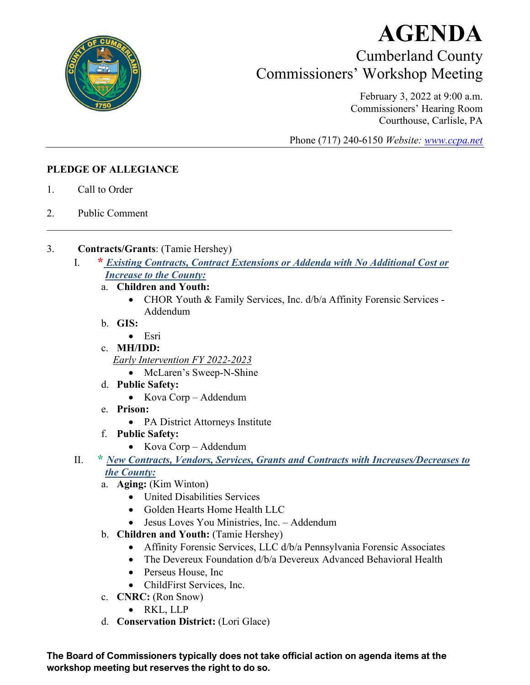

## **AGENDA** Cumberland County Commissioners' Workshop Meeting

February 3, 2022 at 9:00 a.m. Commissioners' Hearing Room Courthouse, Carlisle, PA

Phone (717) 240-6150 *Website: [www.ccpa.net](http://www.ccpa.net/)*

## **PLEDGE OF ALLEGIANCE**

- 1. Call to Order
- 2. Public Comment
- 3. **Contracts/Grants**: (Tamie Hershey)
	- I. **\*** *Existing Contracts, Contract Extensions or Addenda with No Additional Cost or Increase to the County:*

 $\mathcal{L}_\mathcal{L} = \mathcal{L}_\mathcal{L} = \mathcal{L}_\mathcal{L} = \mathcal{L}_\mathcal{L} = \mathcal{L}_\mathcal{L} = \mathcal{L}_\mathcal{L} = \mathcal{L}_\mathcal{L} = \mathcal{L}_\mathcal{L} = \mathcal{L}_\mathcal{L} = \mathcal{L}_\mathcal{L} = \mathcal{L}_\mathcal{L} = \mathcal{L}_\mathcal{L} = \mathcal{L}_\mathcal{L} = \mathcal{L}_\mathcal{L} = \mathcal{L}_\mathcal{L} = \mathcal{L}_\mathcal{L} = \mathcal{L}_\mathcal{L}$ 

- a. **Children and Youth:**
	- CHOR Youth & Family Services, Inc. d/b/a Affinity Forensic Services Addendum
- b. **GIS:**
	- Esri
- c. **MH/IDD:**

*Early Intervention FY 2022-2023*

- McLaren's Sweep-N-Shine
- d. **Public Safety:**
	- Kova Corp Addendum
- e. **Prison:** 
	- PA District Attorneys Institute
- f. **Public Safety:**
	- Kova Corp Addendum
- II. **\*** *New Contracts, Vendors, Services, Grants and Contracts with Increases/Decreases to the County:*
	- a. **Aging:** (Kim Winton)
		- United Disabilities Services
		- Golden Hearts Home Health LLC
		- Jesus Loves You Ministries, Inc. Addendum
	- b. **Children and Youth:** (Tamie Hershey)
		- Affinity Forensic Services, LLC d/b/a Pennsylvania Forensic Associates
		- The Devereux Foundation d/b/a Devereux Advanced Behavioral Health
		- Perseus House, Inc.
		- ChildFirst Services, Inc.
	- c. **CNRC:** (Ron Snow)
		- RKL, LLP
	- d. **Conservation District:** (Lori Glace)

**The Board of Commissioners typically does not take official action on agenda items at the workshop meeting but reserves the right to do so.**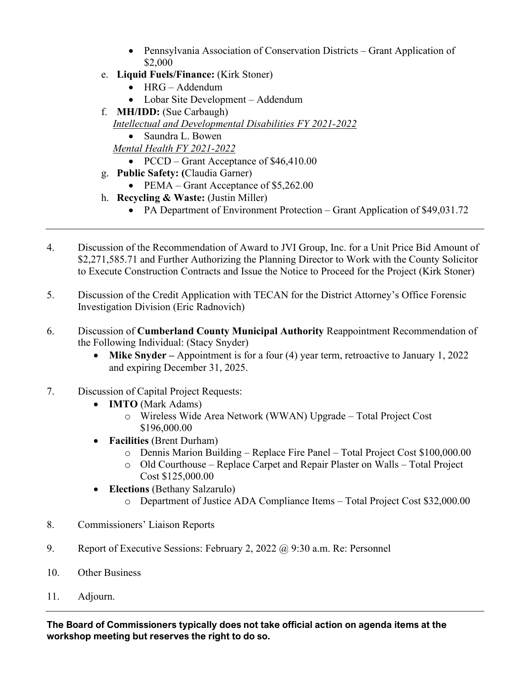- Pennsylvania Association of Conservation Districts Grant Application of \$2,000
- e. **Liquid Fuels/Finance:** (Kirk Stoner)
	- HRG Addendum
	- Lobar Site Development Addendum
- f. **MH/IDD:** (Sue Carbaugh)
- *Intellectual and Developmental Disabilities FY 2021-2022*
	- Saundra L. Bowen

*Mental Health FY 2021-2022*

- PCCD Grant Acceptance of \$46,410.00
- g. **Public Safety: (**Claudia Garner)
	- PEMA Grant Acceptance of \$5,262.00
- h. **Recycling & Waste:** (Justin Miller)
	- PA Department of Environment Protection Grant Application of \$49,031.72
- 4. Discussion of the Recommendation of Award to JVI Group, Inc. for a Unit Price Bid Amount of \$2,271,585.71 and Further Authorizing the Planning Director to Work with the County Solicitor to Execute Construction Contracts and Issue the Notice to Proceed for the Project (Kirk Stoner)
- 5. Discussion of the Credit Application with TECAN for the District Attorney's Office Forensic Investigation Division (Eric Radnovich)
- 6. Discussion of **Cumberland County Municipal Authority** Reappointment Recommendation of the Following Individual: (Stacy Snyder)
	- **Mike Snyder** Appointment is for a four (4) year term, retroactive to January 1, 2022 and expiring December 31, 2025.
- 7. Discussion of Capital Project Requests:
	- **IMTO** (Mark Adams)
		- o Wireless Wide Area Network (WWAN) Upgrade Total Project Cost \$196,000.00
	- **Facilities** (Brent Durham)
		- o Dennis Marion Building Replace Fire Panel Total Project Cost \$100,000.00
		- o Old Courthouse Replace Carpet and Repair Plaster on Walls Total Project Cost \$125,000.00
	- **Elections** (Bethany Salzarulo)
		- o Department of Justice ADA Compliance Items Total Project Cost \$32,000.00
- 8. Commissioners' Liaison Reports
- 9. Report of Executive Sessions: February 2, 2022 @ 9:30 a.m. Re: Personnel
- 10. Other Business
- 11. Adjourn.

**The Board of Commissioners typically does not take official action on agenda items at the workshop meeting but reserves the right to do so.**